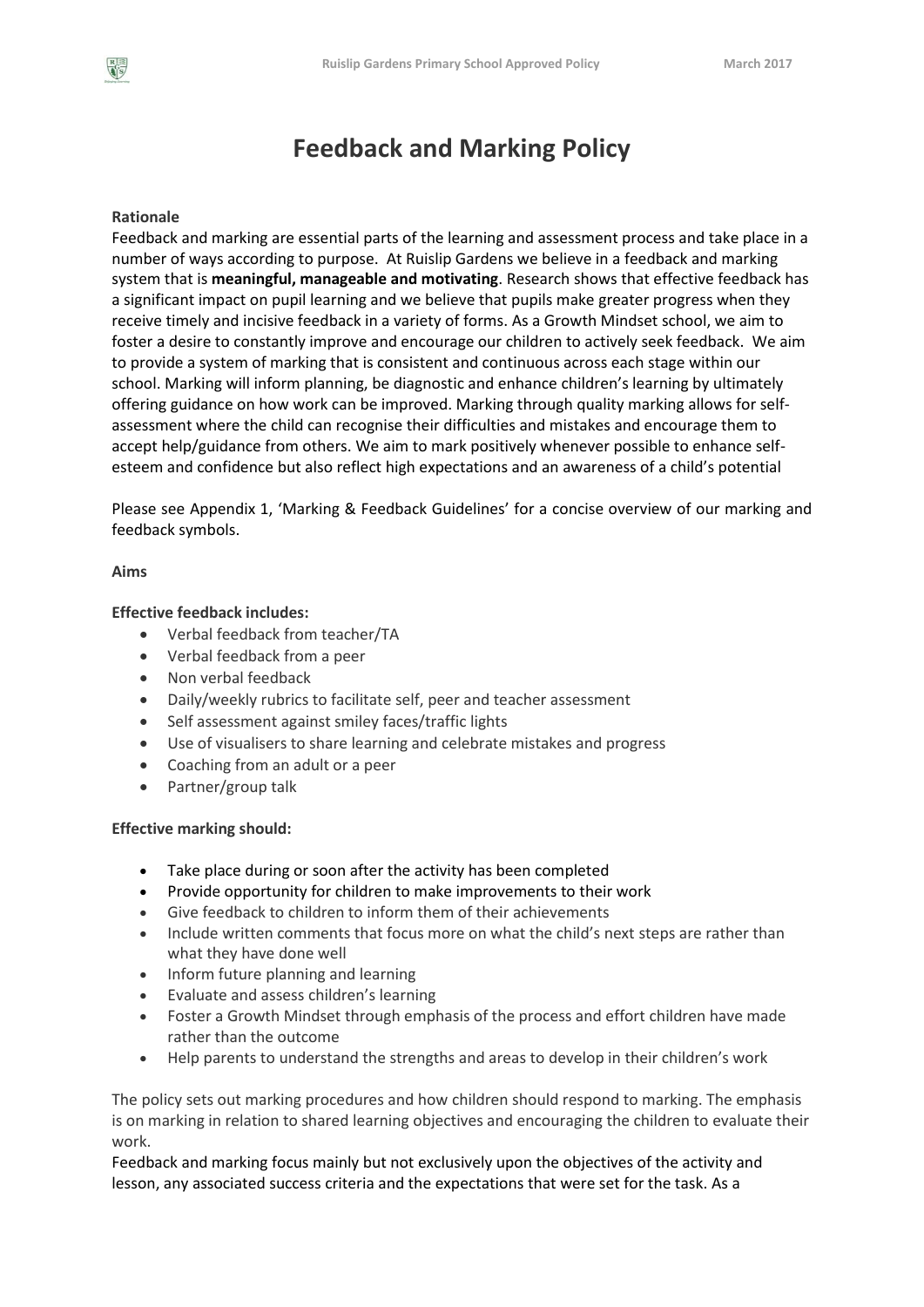# **Feedback and Marking Policy**

# **Rationale**

Feedback and marking are essential parts of the learning and assessment process and take place in a number of ways according to purpose. At Ruislip Gardens we believe in a feedback and marking system that is **meaningful, manageable and motivating**. Research shows that effective feedback has a significant impact on pupil learning and we believe that pupils make greater progress when they receive timely and incisive feedback in a variety of forms. As a Growth Mindset school, we aim to foster a desire to constantly improve and encourage our children to actively seek feedback. We aim to provide a system of marking that is consistent and continuous across each stage within our school. Marking will inform planning, be diagnostic and enhance children's learning by ultimately offering guidance on how work can be improved. Marking through quality marking allows for selfassessment where the child can recognise their difficulties and mistakes and encourage them to accept help/guidance from others. We aim to mark positively whenever possible to enhance selfesteem and confidence but also reflect high expectations and an awareness of a child's potential

Please see Appendix 1, 'Marking & Feedback Guidelines' for a concise overview of our marking and feedback symbols.

## **Aims**

## **Effective feedback includes:**

- Verbal feedback from teacher/TA
- Verbal feedback from a peer
- Non verbal feedback
- Daily/weekly rubrics to facilitate self, peer and teacher assessment
- Self assessment against smiley faces/traffic lights
- Use of visualisers to share learning and celebrate mistakes and progress
- Coaching from an adult or a peer
- Partner/group talk

## **Effective marking should:**

- Take place during or soon after the activity has been completed
- Provide opportunity for children to make improvements to their work
- Give feedback to children to inform them of their achievements
- Include written comments that focus more on what the child's next steps are rather than what they have done well
- Inform future planning and learning
- Evaluate and assess children's learning
- Foster a Growth Mindset through emphasis of the process and effort children have made rather than the outcome
- Help parents to understand the strengths and areas to develop in their children's work

The policy sets out marking procedures and how children should respond to marking. The emphasis is on marking in relation to shared learning objectives and encouraging the children to evaluate their work.

Feedback and marking focus mainly but not exclusively upon the objectives of the activity and lesson, any associated success criteria and the expectations that were set for the task. As a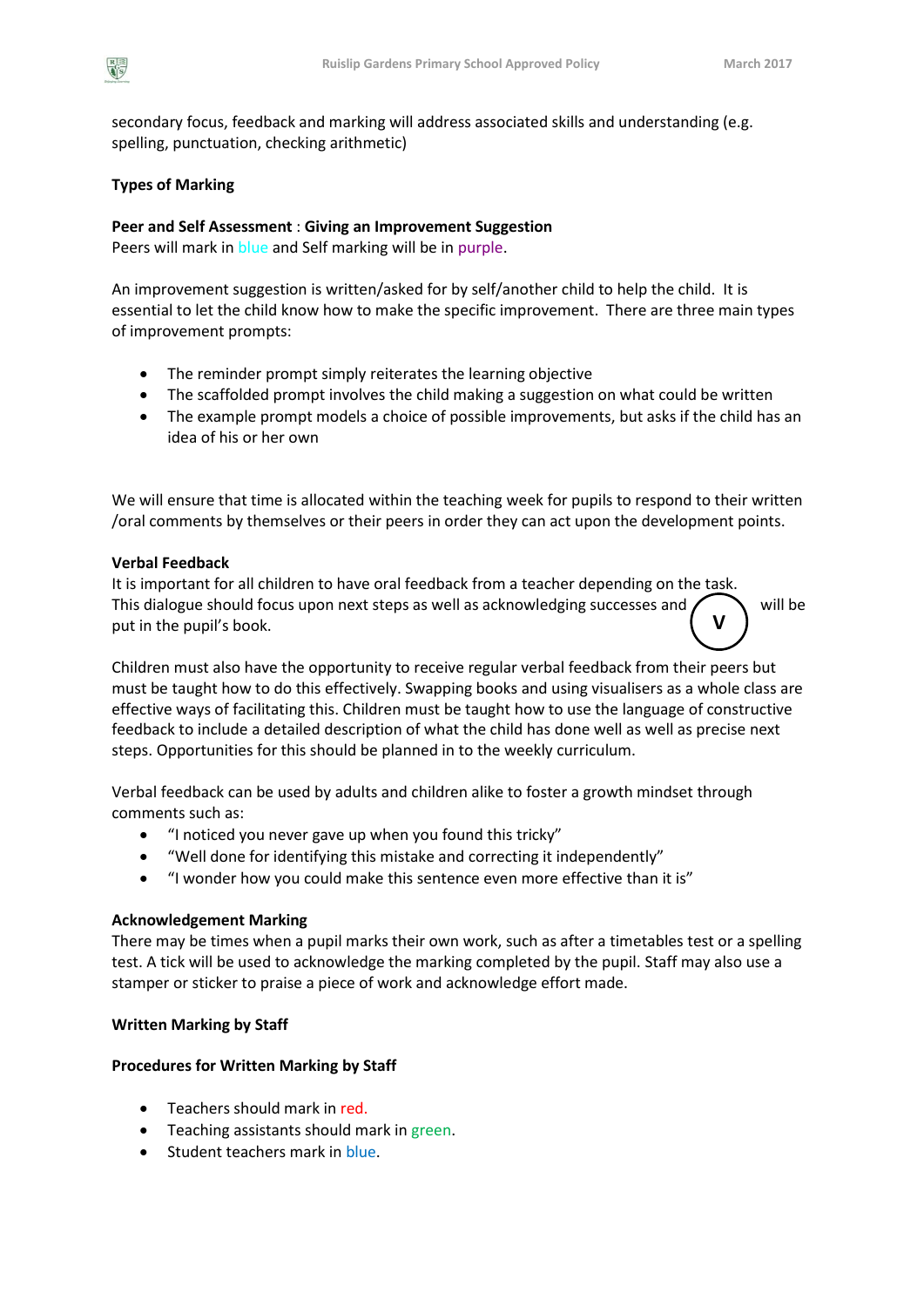secondary focus, feedback and marking will address associated skills and understanding (e.g. spelling, punctuation, checking arithmetic)

# **Types of Marking**

# **Peer and Self Assessment** : **Giving an Improvement Suggestion**

Peers will mark in blue and Self marking will be in purple.

An improvement suggestion is written/asked for by self/another child to help the child. It is essential to let the child know how to make the specific improvement. There are three main types of improvement prompts:

- The reminder prompt simply reiterates the learning objective
- The scaffolded prompt involves the child making a suggestion on what could be written
- The example prompt models a choice of possible improvements, but asks if the child has an idea of his or her own

We will ensure that time is allocated within the teaching week for pupils to respond to their written /oral comments by themselves or their peers in order they can act upon the development points.

## **Verbal Feedback**

It is important for all children to have oral feedback from a teacher depending on the task. This dialogue should focus upon next steps as well as acknowledging successes and  $\sum$  will be put in the pupil's book. **V**

Children must also have the opportunity to receive regular verbal feedback from their peers but must be taught how to do this effectively. Swapping books and using visualisers as a whole class are effective ways of facilitating this. Children must be taught how to use the language of constructive feedback to include a detailed description of what the child has done well as well as precise next steps. Opportunities for this should be planned in to the weekly curriculum.

Verbal feedback can be used by adults and children alike to foster a growth mindset through comments such as:

- "I noticed you never gave up when you found this tricky"
- "Well done for identifying this mistake and correcting it independently"
- "I wonder how you could make this sentence even more effective than it is"

## **Acknowledgement Marking**

There may be times when a pupil marks their own work, such as after a timetables test or a spelling test. A tick will be used to acknowledge the marking completed by the pupil. Staff may also use a stamper or sticker to praise a piece of work and acknowledge effort made.

## **Written Marking by Staff**

# **Procedures for Written Marking by Staff**

- Teachers should mark in red.
- **•** Teaching assistants should mark in green.
- Student teachers mark in blue.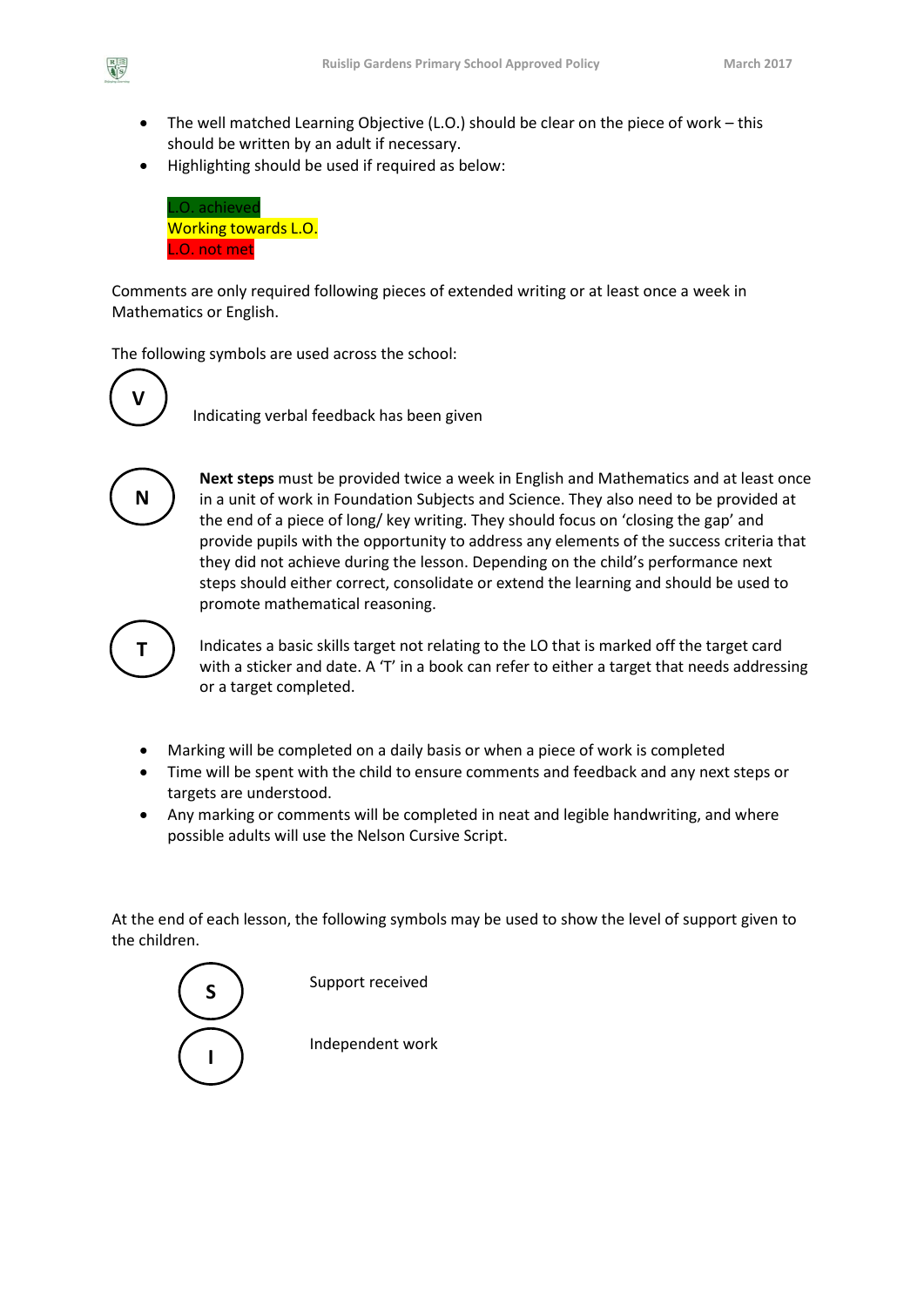- The well matched Learning Objective (L.O.) should be clear on the piece of work this should be written by an adult if necessary.
- Highlighting should be used if required as below:

L.O. achieved Working towards L.O. L.O. not met

Comments are only required following pieces of extended writing or at least once a week in Mathematics or English.

The following symbols are used across the school:



 $\frac{R}{\frac{1}{2}S}$ 

Indicating verbal feedback has been given



**Next steps** must be provided twice a week in English and Mathematics and at least once in a unit of work in Foundation Subjects and Science. They also need to be provided at the end of a piece of long/ key writing. They should focus on 'closing the gap' and provide pupils with the opportunity to address any elements of the success criteria that they did not achieve during the lesson. Depending on the child's performance next steps should either correct, consolidate or extend the learning and should be used to promote mathematical reasoning.



Indicates a basic skills target not relating to the LO that is marked off the target card with a sticker and date. A 'T' in a book can refer to either a target that needs addressing or a target completed.

- Marking will be completed on a daily basis or when a piece of work is completed
- Time will be spent with the child to ensure comments and feedback and any next steps or targets are understood.
- Any marking or comments will be completed in neat and legible handwriting, and where possible adults will use the Nelson Cursive Script.

At the end of each lesson, the following symbols may be used to show the level of support given to the children.

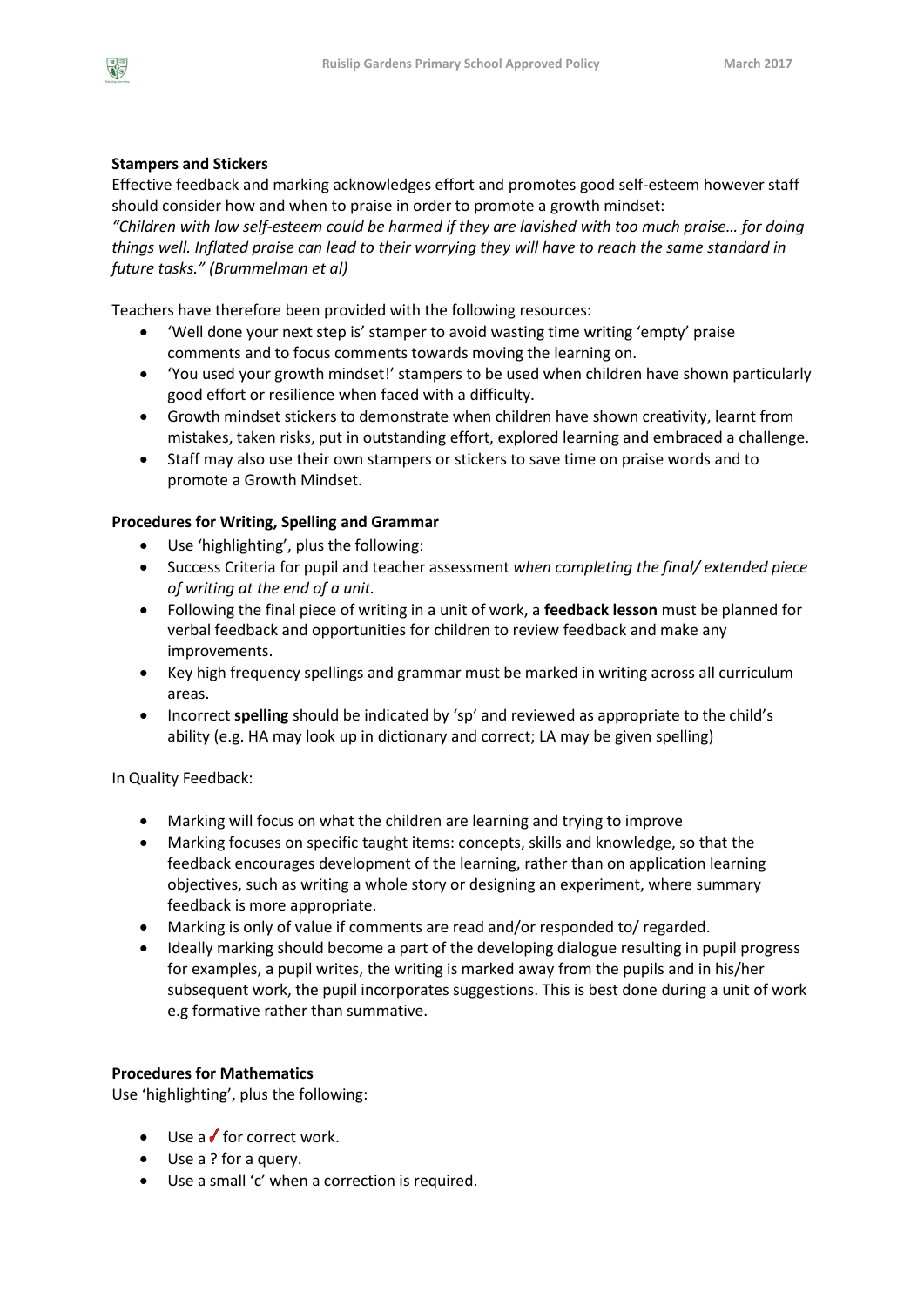

# **Stampers and Stickers**

Effective feedback and marking acknowledges effort and promotes good self-esteem however staff should consider how and when to praise in order to promote a growth mindset:

*"Children with low self-esteem could be harmed if they are lavished with too much praise… for doing things well. Inflated praise can lead to their worrying they will have to reach the same standard in future tasks." (Brummelman et al)*

Teachers have therefore been provided with the following resources:

- 'Well done your next step is' stamper to avoid wasting time writing 'empty' praise comments and to focus comments towards moving the learning on.
- 'You used your growth mindset!' stampers to be used when children have shown particularly good effort or resilience when faced with a difficulty.
- Growth mindset stickers to demonstrate when children have shown creativity, learnt from mistakes, taken risks, put in outstanding effort, explored learning and embraced a challenge.
- Staff may also use their own stampers or stickers to save time on praise words and to promote a Growth Mindset.

# **Procedures for Writing, Spelling and Grammar**

- Use 'highlighting', plus the following:
- Success Criteria for pupil and teacher assessment *when completing the final/ extended piece of writing at the end of a unit.*
- Following the final piece of writing in a unit of work, a **feedback lesson** must be planned for verbal feedback and opportunities for children to review feedback and make any improvements.
- Key high frequency spellings and grammar must be marked in writing across all curriculum areas.
- Incorrect **spelling** should be indicated by 'sp' and reviewed as appropriate to the child's ability (e.g. HA may look up in dictionary and correct; LA may be given spelling)

In Quality Feedback:

- Marking will focus on what the children are learning and trying to improve
- Marking focuses on specific taught items: concepts, skills and knowledge, so that the feedback encourages development of the learning, rather than on application learning objectives, such as writing a whole story or designing an experiment, where summary feedback is more appropriate.
- Marking is only of value if comments are read and/or responded to/ regarded.
- Ideally marking should become a part of the developing dialogue resulting in pupil progress for examples, a pupil writes, the writing is marked away from the pupils and in his/her subsequent work, the pupil incorporates suggestions. This is best done during a unit of work e.g formative rather than summative.

## **Procedures for Mathematics**

Use 'highlighting', plus the following:

- $\bullet$  Use a for correct work.
- Use a ? for a query.
- Use a small 'c' when a correction is required.